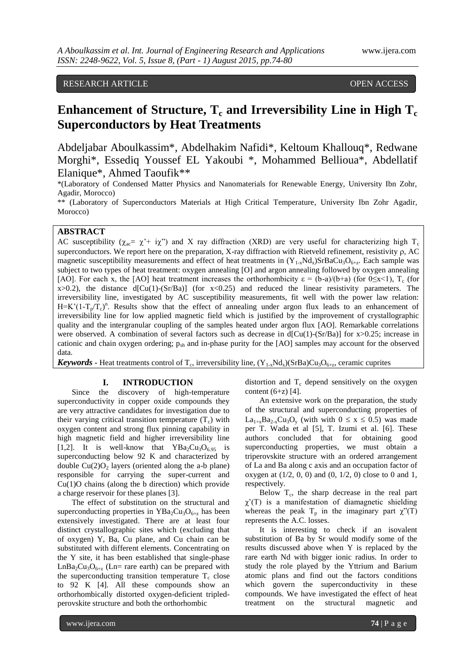## RESEARCH ARTICLE **CONSERVERS** OPEN ACCESS

# **Enhancement of Structure, T<sup>c</sup> and Irreversibility Line in High T<sup>c</sup> Superconductors by Heat Treatments**

Abdeljabar Aboulkassim\*, Abdelhakim Nafidi\*, Keltoum Khallouq\*, Redwane Morghi\*, Essediq Youssef EL Yakoubi \*, Mohammed Bellioua\*, Abdellatif Elanique\*, Ahmed Taoufik\*\*

\*(Laboratory of Condensed Matter Physics and Nanomaterials for Renewable Energy, University Ibn Zohr, Agadir, Morocco)

\*\* (Laboratory of Superconductors Materials at High Critical Temperature, University Ibn Zohr Agadir, Morocco)

## **ABSTRACT**

AC susceptibility ( $\chi_{ac} = \chi' + i\chi''$ ) and X ray diffraction (XRD) are very useful for characterizing high T<sub>c</sub> superconductors. We report here on the preparation, X-ray diffraction with Rietveld refinement, resistivity  $\rho$ , AC magnetic susceptibility measurements and effect of heat treatments in  $(Y_{1-x}Nd_x)SrBaCu_3O_{6+z}$ . Each sample was subject to two types of heat treatment: oxygen annealing [O] and argon annealing followed by oxygen annealing [AO]. For each x, the [AO] heat treatment increases the orthorhombicity  $\varepsilon = (b-a)/(b+a)$  (for  $0 \le x \le 1$ ),  $T_c$  (for  $x>0.2$ ), the distance  $d[Cu(1)-(Sr/Ba)]$  (for  $x<0.25$ ) and reduced the linear resistivity parameters. The irreversibility line, investigated by AC susceptibility measurements, fit well with the power law relation:  $H=K'(1-T_p/T_c)^n$ . Results show that the effect of annealing under argon flux leads to an enhancement of irreversibility line for low applied magnetic field which is justified by the improvement of crystallographic quality and the intergranular coupling of the samples heated under argon flux [AO]. Remarkable correlations were observed. A combination of several factors such as decrease in  $d[Cu(1)-(Sr/Ba)]$  for  $x>0.25$ ; increase in cationic and chain oxygen ordering; psh and in-phase purity for the [AO] samples may account for the observed data.

**Keywords** - Heat treatments control of T<sub>c</sub>, irreversibility line,  $(Y_{1-x}Nd_x)(SrBa)Cu_3O_{6+z}$ , ceramic cuprites

#### **I. INTRODUCTION**

Since the discovery of high-temperature superconductivity in copper oxide compounds they are very attractive candidates for investigation due to their varying critical transition temperature  $(T_c)$  with oxygen content and strong flux pinning capability in high magnetic field and higher irreversibility line [1,2]. It is well-know that  $YBa<sub>2</sub>Cu<sub>3</sub>O<sub>6.95</sub>$  is superconducting below 92 K and characterized by double  $Cu(2)O<sub>2</sub>$  layers (oriented along the a-b plane) responsible for carrying the super-current and Cu(1)O chains (along the b direction) which provide a charge reservoir for these planes [3].

The effect of substitution on the structural and superconducting properties in  $YBa<sub>2</sub>Cu<sub>3</sub>O<sub>6+z</sub>$  has been extensively investigated. There are at least four distinct crystallographic sites which (excluding that of oxygen) Y, Ba, Cu plane, and Cu chain can be substituted with different elements. Concentrating on the Y site, it has been established that single-phase  $LnBa<sub>2</sub>Cu<sub>3</sub>O<sub>6+z</sub>$  (Ln= rare earth) can be prepared with the superconducting transition temperature  $T_c$  close to 92 K [4]. All these compounds show an orthorhombically distorted oxygen-deficient tripledperovskite structure and both the orthorhombic

distortion and  $T_c$  depend sensitively on the oxygen content  $(6+z)$  [4].

An extensive work on the preparation, the study of the structural and superconducting properties of  $La_{1+x}Ba_{2-x}Cu_3O_y$  (with with  $0 \le x \le 0.5$ ) was made per T. Wada et al [5], T. Izumi et al. [6]. These authors concluded that for obtaining good superconducting properties, we must obtain a triperovskite structure with an ordered arrangement of La and Ba along c axis and an occupation factor of oxygen at  $(1/2, 0, 0)$  and  $(0, 1/2, 0)$  close to 0 and 1, respectively.

Below T<sub>c</sub>, the sharp decrease in the real part  $\chi'(T)$  is a manifestation of diamagnetic shielding whereas the peak  $T_p$  in the imaginary part  $\chi''(T)$ represents the A.C. losses.

It is interesting to check if an isovalent substitution of Ba by Sr would modify some of the results discussed above when Y is replaced by the rare earth Nd with bigger ionic radius. In order to study the role played by the Yttrium and Barium atomic plans and find out the factors conditions which govern the superconductivity in these compounds. We have investigated the effect of heat treatment on the structural magnetic and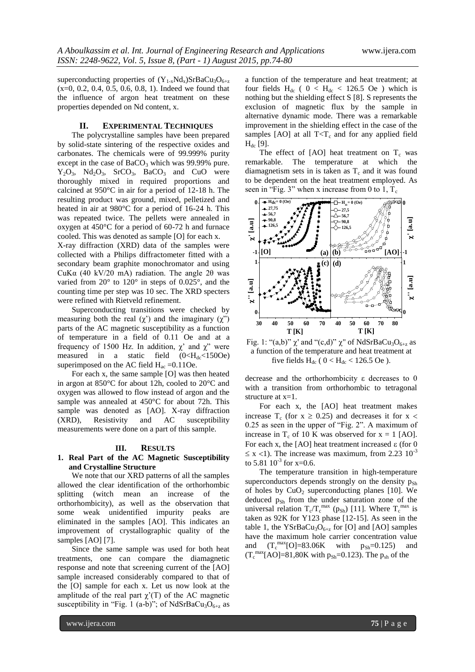superconducting properties of  $(Y_{1-x}Nd_x)SrBaCu_3O_{6+z}$  $(x=0, 0.2, 0.4, 0.5, 0.6, 0.8, 1)$ . Indeed we found that the influence of argon heat treatment on these properties depended on Nd content, x.

## **II. EXPERIMENTAL TECHNIQUES**

The polycrystalline samples have been prepared by solid-state sintering of the respective oxides and carbonates. The chemicals were of 99.999% purity except in the case of  $BaCO<sub>3</sub>$  which was 99.99% pure.  $Y_2O_3$ ,  $Nd_2O_3$ ,  $SrCO_3$ ,  $BaCO_3$  and CuO were thoroughly mixed in required proportions and calcined at 950°C in air for a period of 12-18 h. The resulting product was ground, mixed, pelletized and heated in air at 980°C for a period of 16-24 h. This was repeated twice. The pellets were annealed in oxygen at 450°C for a period of 60-72 h and furnace cooled. This was denoted as sample [O] for each x.

X-ray diffraction (XRD) data of the samples were collected with a Philips diffractometer fitted with a secondary beam graphite monochromator and using CuKα (40 kV/20 mA) radiation. The angle 2θ was varied from 20° to 120° in steps of 0.025°, and the counting time per step was 10 sec. The XRD specters were refined with Rietveld refinement.

Superconducting transitions were checked by measuring both the real  $(\chi')$  and the imaginary  $(\chi'')$ parts of the AC magnetic susceptibility as a function of temperature in a field of 0.11 Oe and at a frequency of 1500 Hz. In addition,  $\chi^2$  and  $\chi^2$  were measured in a static field  $(0 \lt H_{dc} \lt 1500e)$ superimposed on the AC field  $H_{ac} = 0.11$ Oe.

For each x, the same sample [O] was then heated in argon at 850°C for about 12h, cooled to 20°C and oxygen was allowed to flow instead of argon and the sample was annealed at 450°C for about 72h. This sample was denoted as [AO]. X-ray diffraction (XRD), Resistivity and AC susceptibility measurements were done on a part of this sample.

#### **III. RESULTS**

## **1. Real Part of the AC Magnetic Susceptibility and Crystalline Structure**

We note that our XRD patterns of all the samples allowed the clear identification of the orthorhombic splitting (witch mean an increase of the orthorhombicity), as well as the observation that some weak unidentified impurity peaks are eliminated in the samples [AO]. This indicates an improvement of crystallographic quality of the samples [AO] [7].

Since the same sample was used for both heat treatments, one can compare the diamagnetic response and note that screening current of the [AO] sample increased considerably compared to that of the [O] sample for each x. Let us now look at the amplitude of the real part  $\chi'(T)$  of the AC magnetic susceptibility in "Fig. 1 (a-b)"; of NdSrBaCu<sub>3</sub>O<sub>6+z</sub> as

a function of the temperature and heat treatment; at four fields  $H_{dc}$  (  $0 < H_{dc} < 126.5$  Oe ) which is nothing but the shielding effect S [8]. S represents the exclusion of magnetic flux by the sample in alternative dynamic mode. There was a remarkable improvement in the shielding effect in the case of the samples [AO] at all  $T < T_c$  and for any applied field  $H_{dc}$  [9].

The effect of [AO] heat treatment on  $T_c$  was remarkable. The temperature at which the diamagnetism sets in is taken as  $T_c$  and it was found to be dependent on the heat treatment employed. As seen in "Fig. 3" when x increase from 0 to 1,  $T_c$ 



Fig. 1: "(a,b)"  $\chi$ ' and "(c,d)"  $\chi$ " of NdSrBaCu<sub>3</sub>O<sub>6+z</sub> as a function of the temperature and heat treatment at five fields  $H_{dc}$  (  $0 < H_{dc} < 126.5$  Oe ).

decrease and the orthorhombicity ε decreases to 0 with a transition from orthorhombic to tetragonal structure at x=1.

For each x, the [AO] heat treatment makes increase T<sub>c</sub> (for  $x \ge 0.25$ ) and decreases it for  $x <$  $0.25$  as seen in the upper of "Fig. 2". A maximum of increase in  $T_c$  of 10 K was observed for  $x = 1$  [AO]. For each x, the [AO] heat treatment increased  $\varepsilon$  (for 0  $\leq$  x <1). The increase was maximum, from 2.23 10<sup>-3</sup> to 5.81  $10^{-3}$  for x=0.6.

The temperature transition in high-temperature superconductors depends strongly on the density  $p_{Sh}$ of holes by  $CuO<sub>2</sub>$  superconducting planes [10]. We deduced  $p_{Sh}$  from the under saturation zone of the universal relation  $T_c/T_c^{max}$  (p<sub>Sh</sub>) [11]. Where  $T_c^{max}$  is taken as 92K for Y123 phase [12-15]. As seen in the table 1, the YSrBaCu<sub>3</sub>O<sub>6+z</sub> for [O] and [AO] samples have the maximum hole carrier concentration value and  $(T_c^{\text{max}}[O]=83.06K$  with  $p_{Sh}=0.125)$  and  $(T_c^{\text{max}}[AO]=81,80K$  with  $p_{Sh}=0.123$ ). The  $p_{sh}$  of the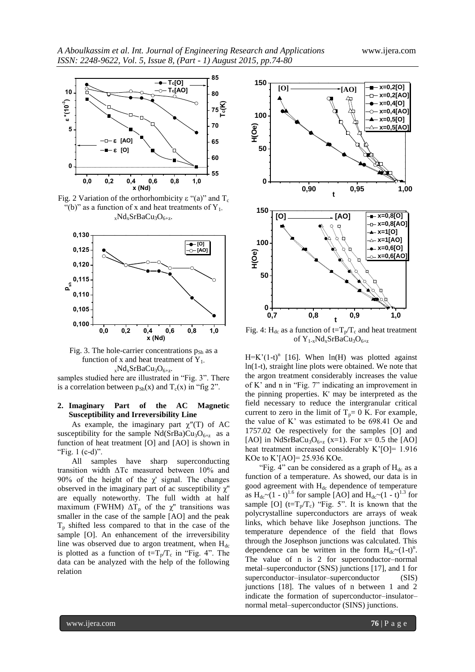

Fig. 2 Variation of the orthorhombicity  $\varepsilon$  "(a)" and T<sub>c</sub> "(b)" as a function of x and heat treatments of  $Y_1$ .  $_{x}Nd_{x}SrBaCu_{3}O_{6+z}.$ 



Fig. 3. The hole-carrier concentrations  $p_{Sh}$  as a function of x and heat treatment of  $Y_1$ .  $_{x}Nd_{x}SrBaCu_{3}O_{6+z}.$ 

samples studied here are illustrated in "Fig. 3". There is a correlation between  $p_{Sh}(x)$  and  $T_c(x)$  in "fig 2".

## **2. Imaginary Part of the AC Magnetic Susceptibility and Irreversibility Line**

As example, the imaginary part  $\chi''(T)$  of AC susceptibility for the sample  $Nd(SrBa)Cu<sub>3</sub>O<sub>6+z</sub>$  as a function of heat treatment [O] and [AO] is shown in "Fig.  $1$  (c-d)".

All samples have sharp superconducting transition width ΔTc measured between 10% and 90% of the height of the  $\chi$ ' signal. The changes observed in the imaginary part of ac susceptibility  $\chi$ " are equally noteworthy. The full width at half maximum (FWHM)  $\Delta T_p$  of the  $\chi$ <sup>"</sup> transitions was smaller in the case of the sample [AO] and the peak  $T<sub>p</sub>$  shifted less compared to that in the case of the sample [O]. An enhancement of the irreversibility line was observed due to argon treatment, when  $H_{dc}$ is plotted as a function of  $t=T_p/T_c$  in "Fig. 4". The data can be analyzed with the help of the following relation



**0,0 0,2 0,4 0,6 0,8 1,0** Fig. 4: H<sub>dc</sub> as a function of  $t=T_p/T_c$  and heat treatment of  $Y_{1-x}Nd_xSrBaCu_3O_{6+z}$ 

 $H=K'(1-t)^n$  [16]. When ln(H) was plotted against ln(1-t), straight line plots were obtained. We note that the argon treatment considerably increases the value of K' and  $n$  in "Fig. 7" indicating an improvement in the pinning properties. K' may be interpreted as the field necessary to reduce the intergranular critical current to zero in the limit of  $T_p= 0$  K. For example, the value of K' was estimated to be 698.41 Oe and 1757.02 Oe respectively for the samples [O] and [AO] in NdSrBaCu<sub>3</sub>O<sub>6+z</sub> (x=1). For x= 0.5 the [AO] heat treatment increased considerably K'[O]= 1.916 KOe to K'[AO]= 25.936 KOe.

"Fig. 4" can be considered as a graph of  $H_{dc}$  as a function of a temperature. As showed, our data is in good agreement with  $H_{dc}$  dependence of temperature as  $H_{dc} \sim (1 - t)^{1.6}$  for sample [AO] and  $H_{dc} \sim (1 - t)^{1.3}$  for sample [O] ( $t=T_p/T_c$ ) "Fig. 5". It is known that the polycrystalline superconductors are arrays of weak links, which behave like Josephson junctions. The temperature dependence of the field that flows through the Josephson junctions was calculated. This dependence can be written in the form  $H_{dc} \sim (1-t)^n$ . The value of n is 2 for superconductor–normal metal–superconductor (SNS) junctions [17], and 1 for superconductor–insulator–superconductor (SIS) junctions [18]. The values of n between 1 and 2 indicate the formation of superconductor–insulator– normal metal–superconductor (SINS) junctions.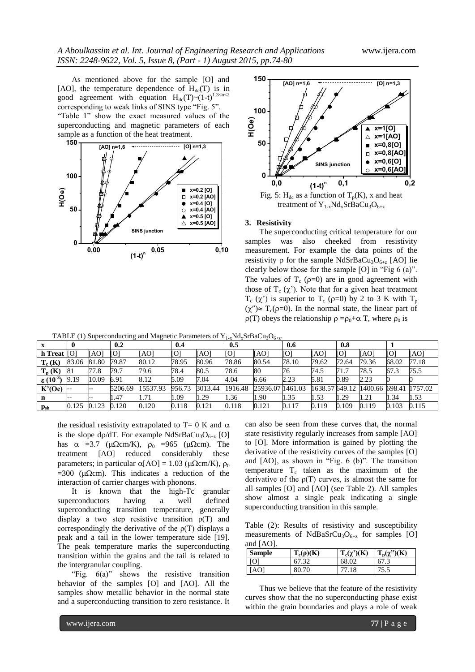As mentioned above for the sample [O] and [AO], the temperature dependence of  $H_{dc}(T)$  is in good agreement with equation  $H_{dc}(T) \sim (1-t)^{1.3 < n < 2}$ corresponding to weak links of SINS type "Fig. 5". "Table 1" show the exact measured values of the superconducting and magnetic parameters of each





#### **3. Resistivity**

**0,00 0,05 0,10** measurement. For example the data points of the The superconducting critical temperature for our samples was also cheeked from resistivity resistivity  $\rho$  for the sample NdSrBaCu<sub>3</sub>O<sub>6+z</sub> [AO] lie clearly below those for the sample  $[O]$  in "Fig 6 (a)". The values of  $T_c$  ( $\rho=0$ ) are in good agreement with those of  $T_c$  ( $\chi'$ ). Note that for a given heat treatment  $T_c$  ( $\chi'$ ) is superior to  $T_c$  ( $\rho=0$ ) by 2 to 3 K with  $T_p$  $(\chi'') \approx T_c(\rho=0)$ . In the normal state, the linear part of  $\rho(T)$  obeys the relationship  $\rho = \rho_0 + \alpha T$ , where  $\rho_0$  is

TABLE (1) Superconducting and Magnetic Parameters of  $Y_{1-x}Nd_xSrBaCu_3O_{6+x}$ .

|                                | $\mathbf 0$ |       | 0.2     |          | 0.4    |         | $\sim$ $\sim$<br>0.5 | - - -            | 0.6   |               | 0.8   |                |                |         |
|--------------------------------|-------------|-------|---------|----------|--------|---------|----------------------|------------------|-------|---------------|-------|----------------|----------------|---------|
| $h$ Treat $[O]$                |             | [AO]  | [O]     | [AO]     | ГOІ    | [AO]    | ſОl                  | [AO]             | ſОl   | [AO]          | [O]   | [AO]           | $\overline{O}$ | [AO]    |
| $T_c(K)$                       | 83.06       | 81.80 | 79.87   | 80.12    | 78.95  | 80.96   | 78.86                | 80.54            | 78.10 | 79.62         | 72.64 | 79.36          | 68.02          | 77.18   |
| $T_p(K)$                       | 81          | 77.8  | 79.7    | 79.6     | 78.4   | 80.5    | 78.6                 | 80               | 76    | 74.5          | 71.7  | 78.5           | 67.3           | 75.5    |
| $\epsilon$ (10 <sup>-3</sup> ) | 9.19        | 10.09 | 6.91    | 8.12     | 5.09   | 7.04    | 4.04                 | 6.66             | 2.23  | 5.81          | 0.89  | 2.23           |                |         |
| K'(Oe)                         | $- -$       |       | 5206.69 | 15537.93 | 956.73 | 3013.44 | 1916.48              | 25936.07 1461.03 |       | 1638.57649.12 |       | 1400.66 698.41 |                | 1757.02 |
| n                              |             |       | . 47    | 1.71     | 1.09   | 1.29    | 1.36                 | 1.90             | 1.35  | 1.53          | 1.29  | 1.21           | 1.34           | 1.53    |
| $\mathbf{p}_{\rm sh}$          | 0.125       | 0.123 | 0.120   | 0.120    | 0.118  | 0.121   | 0.118                | 0.121            | 0.117 | 0.119         | 0.109 | 0.119          | 0.103          | 0.115   |

the residual resistivity extrapolated to  $T=0$  K and  $\alpha$ is the slope d $\rho/dT$ . For example NdSrBaCu<sub>3</sub>O<sub>6+z</sub> [O] has  $\alpha$  =3.7 ( $\mu \Omega$ cm/K),  $\rho_0$  =965 ( $\mu \Omega$ cm). The treatment [AO] reduced considerably these treatment [AO] reduced considerably these parameters; in particular  $\alpha$ [AO] = 1.03 ( $\mu\Omega$ cm/K),  $\rho_0$  $=300$  ( $\mu\Omega$ cm). This indicates a reduction of the interaction of carrier charges with phonons.

It is known that the high-Tc granular superconductors having a well defined superconducting transition temperature, generally display a two step resistive transition  $\rho(T)$  and correspondingly the derivative of the  $\rho(T)$  displays a peak and a tail in the lower temperature side [19]. The peak temperature marks the superconducting transition within the grains and the tail is related to the intergranular coupling.

"Fig.  $6(a)$ " shows the resistive transition behavior of the samples [O] and [AO]. All the samples show metallic behavior in the normal state and a superconducting transition to zero resistance. It can also be seen from these curves that, the normal state resistivity regularly increases from sample [AO] to [O]. More information is gained by plotting the derivative of the resistivity curves of the samples [O] and  $[AO]$ , as shown in "Fig. 6  $(b)$ ". The transition temperature  $T_c$  taken as the maximum of the derivative of the  $p(T)$  curves, is almost the same for all samples [O] and [AO] (see Table 2). All samples show almost a single peak indicating a single superconducting transition in this sample.

Table (2): Results of resistivity and susceptibility measurements of NdBaSrCu<sub>3</sub>O<sub>6+z</sub> for samples [O] and [AO].

| <b>Sample</b> | $T_c(\rho)(K)$ | $T_c(\chi')(K)$ | $T_p(\chi^{\prime\prime\prime})(K)$ |
|---------------|----------------|-----------------|-------------------------------------|
| l IO1         | 67.32          | 68.02           | 67.3                                |
| l [AO]        | 80.70          | 77.18           | 75.5                                |

Thus we believe that the feature of the resistivity curves show that the no superconducting phase exist within the grain boundaries and plays a role of weak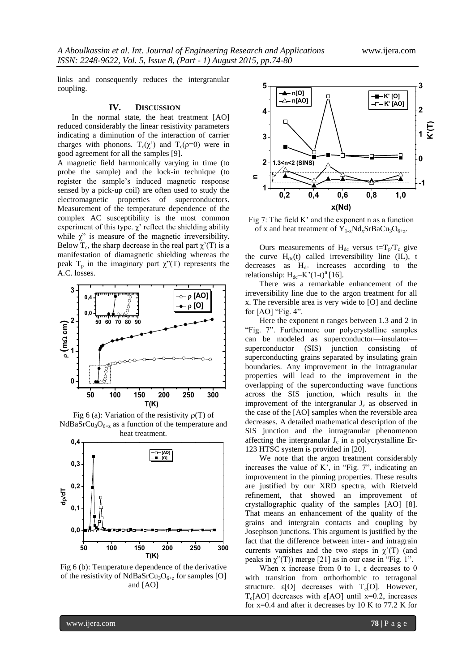links and consequently reduces the intergranular coupling.

#### **IV. DISCUSSION**

In the normal state, the heat treatment [AO] reduced considerably the linear resistivity parameters indicating a diminution of the interaction of carrier charges with phonons.  $T_c(\chi^2)$  and  $T_c(\rho=0)$  were in good agreement for all the samples [9].

A magnetic field harmonically varying in time (to probe the sample) and the lock-in technique (to register the sample's induced magnetic response sensed by a pick-up coil) are often used to study the electromagnetic properties of superconductors. Measurement of the temperature dependence of the complex AC susceptibility is the most common experiment of this type.  $\chi'$  reflect the shielding ability while  $\chi$ " is measure of the magnetic irreversibility. Below T<sub>c</sub>, the sharp decrease in the real part  $\chi'(T)$  is a manifestation of diamagnetic shielding whereas the peak  $T_p$  in the imaginary part  $\chi''(T)$  represents the A.C. losses.







Fig 6 (b): Temperature dependence of the derivative of the resistivity of NdBaSrCu<sub>3</sub>O<sub>6+z</sub> for samples [O] and [AO]



Fig 7: The field K' and the exponent n as a function of x and heat treatment of  $Y_{1-x}Nd_xSrBaCu_3O_{6+z}$ .

Ours measurements of H<sub>dc</sub> versus t=T<sub>p</sub>/T<sub>c</sub> give the curve  $H_{dc}(t)$  called irreversibility line (IL), t decreases as H<sub>dc</sub> increases according to the relationship:  $H_{dc} = K'(1-t)^n[16]$ .

There was a remarkable enhancement of the irreversibility line due to the argon treatment for all x. The reversible area is very wide to [O] and decline for  $[AO]$  "Fig. 4".

**50 100 150 200 250 300** across the SIS junction, which results in the Here the exponent n ranges between 1.3 and 2 in "Fig. 7". Furthermore our polycrystalline samples can be modeled as superconductor—insulator superconductor (SIS) junction consisting of superconducting grains separated by insulating grain boundaries. Any improvement in the intragranular properties will lead to the improvement in the overlapping of the superconducting wave functions improvement of the intergranular  $J_c$  as observed in the case of the [AO] samples when the reversible area decreases. A detailed mathematical description of the SIS junction and the intragranular phenomenon affecting the intergranular  $J_c$  in a polycrystalline Er-123 HTSC system is provided in [20].

**50 100 150 200 250 300** currents vanishes and the two steps in  $\chi'(T)$  (and We note that the argon treatment considerably increases the value of K', in "Fig.  $7$ ", indicating an improvement in the pinning properties. These results are justified by our XRD spectra, with Rietveld refinement, that showed an improvement of crystallographic quality of the samples [AO] [8]. That means an enhancement of the quality of the grains and intergrain contacts and coupling by Josephson junctions. This argument is justified by the fact that the difference between inter- and intragrain peaks in  $\chi$ <sup>2</sup>(T)) merge [21] as in our case in "Fig. 1".

> When x increase from 0 to 1,  $\varepsilon$  decreases to 0 with transition from orthorhombic to tetragonal structure.  $\varepsilon$ [O] decreases with T<sub>c</sub>[O]. However, Tc[AO] decreases with ε[AO] until x=0.2, increases for x=0.4 and after it decreases by 10 K to 77.2 K for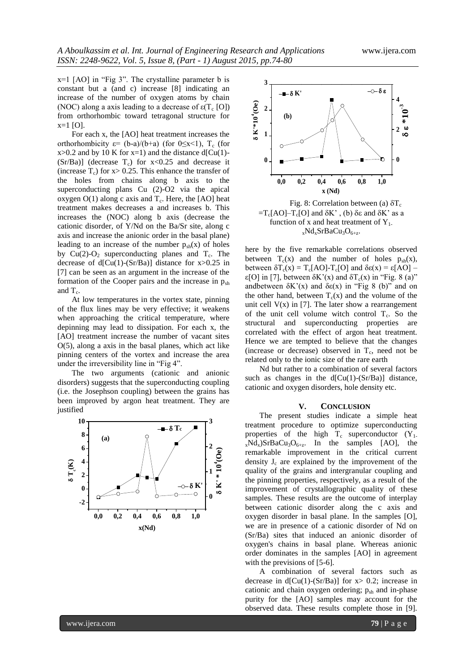$x=1$  [AO] in "Fig 3". The crystalline parameter b is constant but a (and c) increase [8] indicating an increase of the number of oxygen atoms by chain (NOC) along a axis leading to a decrease of  $\epsilon(T_c [O])$ from orthorhombic toward tetragonal structure for  $x=1$  [O].

For each x, the [AO] heat treatment increases the orthorhombicity  $\varepsilon = (b-a)/(b+a)$  (for  $0 \le x \le 1$ ),  $T_c$  (for  $x>0.2$  and by 10 K for  $x=1$ ) and the distance d[Cu(1)- $(Sr/Ba)$ ] (decrease T<sub>c</sub>) for  $x < 0.25$  and decrease it (increase  $T_c$ ) for  $x > 0.25$ . This enhance the transfer of the holes from chains along b axis to the superconducting plans Cu (2)-O2 via the apical oxygen  $O(1)$  along c axis and  $T_c$ . Here, the [AO] heat treatment makes decreases a and increases b. This increases the (NOC) along b axis (decrease the cationic disorder, of Y/Nd on the Ba/Sr site, along c axis and increase the anionic order in the basal plane) leading to an increase of the number  $p_{sh}(x)$  of holes by  $Cu(2)-O<sub>2</sub>$  superconducting planes and  $T<sub>c</sub>$ . The decrease of  $d[Cu(1)-(Sr/Ba)]$  distance for x>0.25 in [7] can be seen as an argument in the increase of the formation of the Cooper pairs and the increase in  $p_{sh}$ and  $T_c$ .

At low temperatures in the vortex state, pinning of the flux lines may be very effective; it weakens when approaching the critical temperature, where depinning may lead to dissipation. For each x, the [AO] treatment increase the number of vacant sites O(5), along a axis in the basal planes, which act like pinning centers of the vortex and increase the area under the irreversibility line in "Fig 4".

The two arguments (cationic and anionic disorders) suggests that the superconducting coupling (i.e. the Josephson coupling) between the grains has been improved by argon heat treatment. They are justified





Fig. 8: Correlation between (a)  $\delta T_c$  $=T_c[AO]-T_c[O]$  and  $\delta K'$ , (b)  $\delta \epsilon$  and  $\delta K'$  as a function of x and heat treatment of  $Y_1$ .  $_{x}Nd_{x}SrBaCu_{3}O_{6+z}.$ 

here by the five remarkable correlations observed between  $T_c(x)$  and the number of holes  $p_{sh}(x)$ , between  $\delta T_c(x) = T_c[AO]$ - $T_c[O]$  and  $\delta \epsilon(x) = \epsilon[AO]$  – ε[O] in [7], between  $\delta K'(x)$  and  $\delta T_c(x)$  in "Fig. 8 (a)" andbetween  $\delta K'(x)$  and  $\delta \varepsilon(x)$  in "Fig 8 (b)" and on the other hand, between  $T_c(x)$  and the volume of the unit cell  $V(x)$  in [7]. The later show a rearrangement of the unit cell volume witch control  $T_c$ . So the structural and superconducting properties are correlated with the effect of argon heat treatment. Hence we are tempted to believe that the changes (increase or decrease) observed in  $T_c$ , need not be related only to the ionic size of the rare earth

Nd but rather to a combination of several factors such as changes in the  $d[Cu(1)-(Sr/Ba)]$  distance, cationic and oxygen disorders, hole density etc.

#### **V. CONCLUSION**

quality of the grains and intergranular coupling and<br>the pinning properties, respectively, as a result of the<br>improvement of crystallographic quality of these  $\begin{array}{c}\n\bullet \\
\bullet \\
\bullet\n\end{array}$  **remarkable improvement in the critical current density**  $J_c$  **are explained by the improvement of the 0** samples. These results are the outcome of interplay **1** quality of the grains and intergranular coupling and  $2 \sim xNd_x/SrBaCu_3O_{6+z}$ . In the samples [AO], the **3** treatment procedure to optimize superconducting The present studies indicate a simple heat properties of the high  $T_c$  superconductor  $(Y_1)$ . density  $J_c$  are explained by the improvement of the the pinning properties, respectively, as a result of the between cationic disorder along the c axis and oxygen disorder in basal plane. In the samples [O], we are in presence of a cationic disorder of Nd on (Sr/Ba) sites that induced an anionic disorder of oxygen's chains in basal plane. Whereas anionic order dominates in the samples [AO] in agreement with the previsions of [5-6].

> A combination of several factors such as decrease in  $d[Cu(1)-(Sr/Ba)]$  for  $x> 0.2$ ; increase in cationic and chain oxygen ordering;  $p_{sh}$  and in-phase purity for the [AO] samples may account for the observed data. These results complete those in [9].